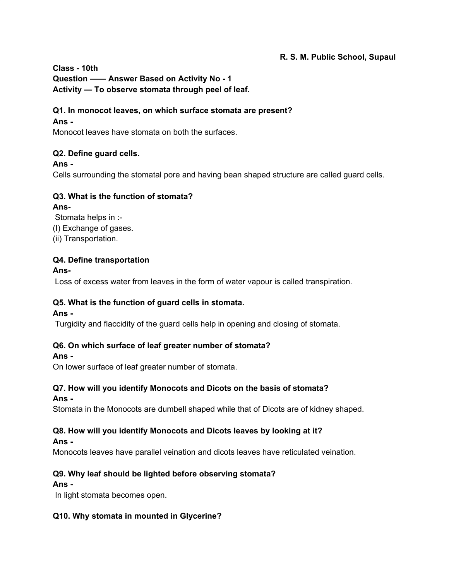## **R. S. M. Public School, Supaul**

**Class - 10th**

**Question —— Answer Based on Activity No - 1 Activity — To observe stomata through peel of leaf.**

## **Q1. In monocot leaves, on which surface stomata are present?**

### **Ans -**

Monocot leaves have stomata on both the surfaces.

#### **Q2. Define guard cells.**

#### **Ans -**

Cells surrounding the stomatal pore and having bean shaped structure are called guard cells.

# **Q3. What is the function of stomata?**

#### **Ans-**

Stomata helps in :- (I) Exchange of gases. (ii) Transportation.

## **Q4. Define transportation**

#### **Ans-**

Loss of excess water from leaves in the form of water vapour is called transpiration.

# **Q5. What is the function of guard cells in stomata.**

#### **Ans -**

Turgidity and flaccidity of the guard cells help in opening and closing of stomata.

#### **Q6. On which surface of leaf greater number of stomata?**

#### **Ans -**

On lower surface of leaf greater number of stomata.

# **Q7. How will you identify Monocots and Dicots on the basis of stomata?**

#### **Ans -**

Stomata in the Monocots are dumbell shaped while that of Dicots are of kidney shaped.

#### **Q8. How will you identify Monocots and Dicots leaves by looking at it?**

#### **Ans -**

Monocots leaves have parallel veination and dicots leaves have reticulated veination.

# **Q9. Why leaf should be lighted before observing stomata?**

#### **Ans -**

In light stomata becomes open.

# **Q10. Why stomata in mounted in Glycerine?**